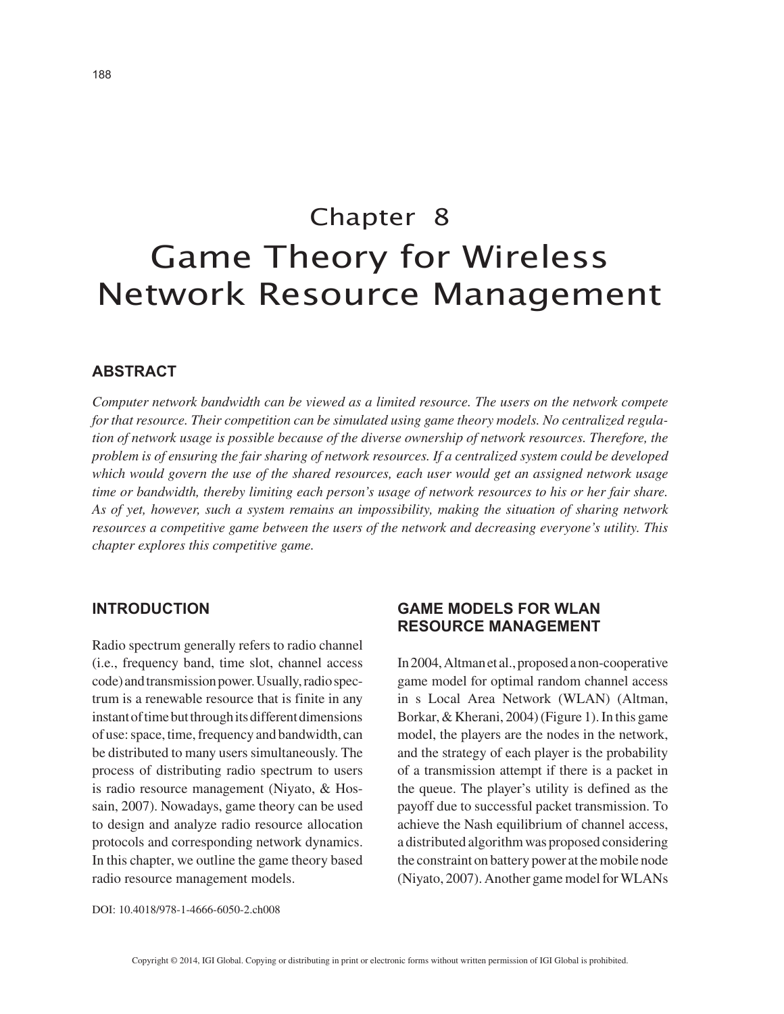# Chapter 8 Game Theory for Wireless Network Resource Management

## **ABSTRACT**

*Computer network bandwidth can be viewed as a limited resource. The users on the network compete for that resource. Their competition can be simulated using game theory models. No centralized regulation of network usage is possible because of the diverse ownership of network resources. Therefore, the problem is of ensuring the fair sharing of network resources. If a centralized system could be developed which would govern the use of the shared resources, each user would get an assigned network usage time or bandwidth, thereby limiting each person's usage of network resources to his or her fair share. As of yet, however, such a system remains an impossibility, making the situation of sharing network resources a competitive game between the users of the network and decreasing everyone's utility. This chapter explores this competitive game.*

#### **INTRODUCTION**

Radio spectrum generally refers to radio channel (i.e., frequency band, time slot, channel access code) and transmission power. Usually, radio spectrum is a renewable resource that is finite in any instant of time but through its different dimensions of use: space, time, frequency and bandwidth, can be distributed to many users simultaneously. The process of distributing radio spectrum to users is radio resource management (Niyato, & Hossain, 2007). Nowadays, game theory can be used to design and analyze radio resource allocation protocols and corresponding network dynamics. In this chapter, we outline the game theory based radio resource management models.

# **GAME MODELS FOR WLAN RESOURCE MANAGEMENT**

In 2004, Altman et al., proposed a non-cooperative game model for optimal random channel access in s Local Area Network (WLAN) (Altman, Borkar, & Kherani, 2004) (Figure 1). In this game model, the players are the nodes in the network, and the strategy of each player is the probability of a transmission attempt if there is a packet in the queue. The player's utility is defined as the payoff due to successful packet transmission. To achieve the Nash equilibrium of channel access, a distributed algorithm was proposed considering the constraint on battery power at the mobile node (Niyato, 2007). Another game model for WLANs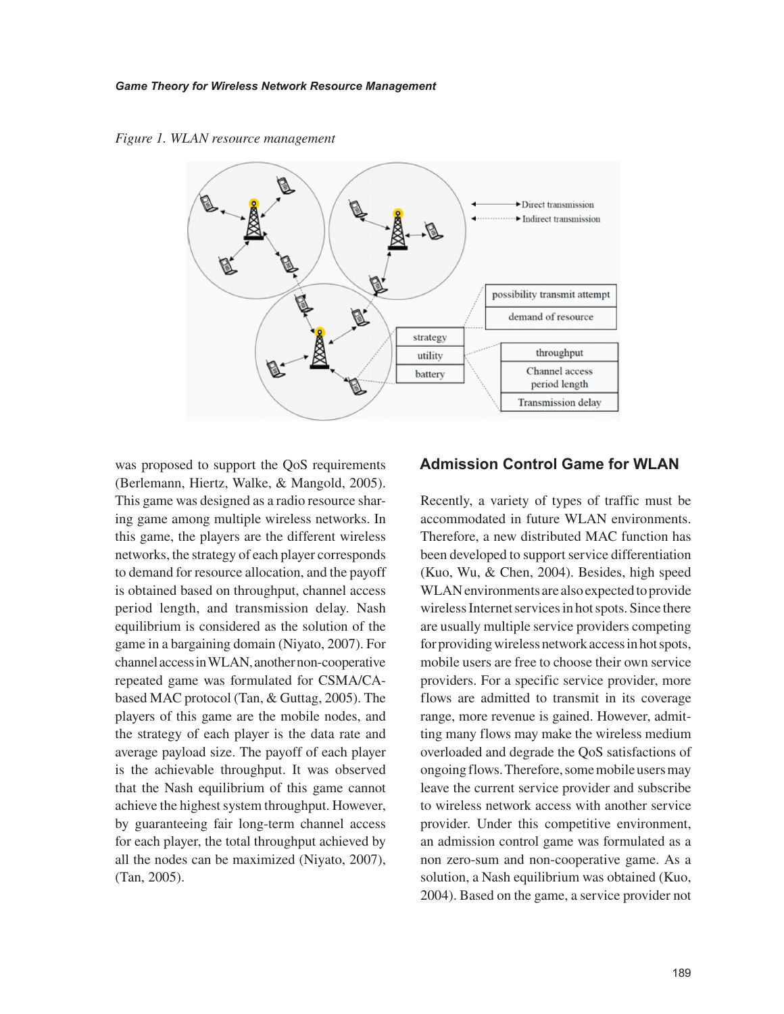*Figure 1. WLAN resource management*



was proposed to support the QoS requirements (Berlemann, Hiertz, Walke, & Mangold, 2005). This game was designed as a radio resource sharing game among multiple wireless networks. In this game, the players are the different wireless networks, the strategy of each player corresponds to demand for resource allocation, and the payoff is obtained based on throughput, channel access period length, and transmission delay. Nash equilibrium is considered as the solution of the game in a bargaining domain (Niyato, 2007). For channel access in WLAN, another non-cooperative repeated game was formulated for CSMA/CAbased MAC protocol (Tan, & Guttag, 2005). The players of this game are the mobile nodes, and the strategy of each player is the data rate and average payload size. The payoff of each player is the achievable throughput. It was observed that the Nash equilibrium of this game cannot achieve the highest system throughput. However, by guaranteeing fair long-term channel access for each player, the total throughput achieved by all the nodes can be maximized (Niyato, 2007), (Tan, 2005).

## **Admission Control Game for WLAN**

Recently, a variety of types of traffic must be accommodated in future WLAN environments. Therefore, a new distributed MAC function has been developed to support service differentiation (Kuo, Wu, & Chen, 2004). Besides, high speed WLAN environments are also expected to provide wireless Internet services in hot spots. Since there are usually multiple service providers competing for providing wireless network access in hot spots, mobile users are free to choose their own service providers. For a specific service provider, more flows are admitted to transmit in its coverage range, more revenue is gained. However, admitting many flows may make the wireless medium overloaded and degrade the QoS satisfactions of ongoing flows. Therefore, some mobile users may leave the current service provider and subscribe to wireless network access with another service provider. Under this competitive environment, an admission control game was formulated as a non zero-sum and non-cooperative game. As a solution, a Nash equilibrium was obtained (Kuo, 2004). Based on the game, a service provider not